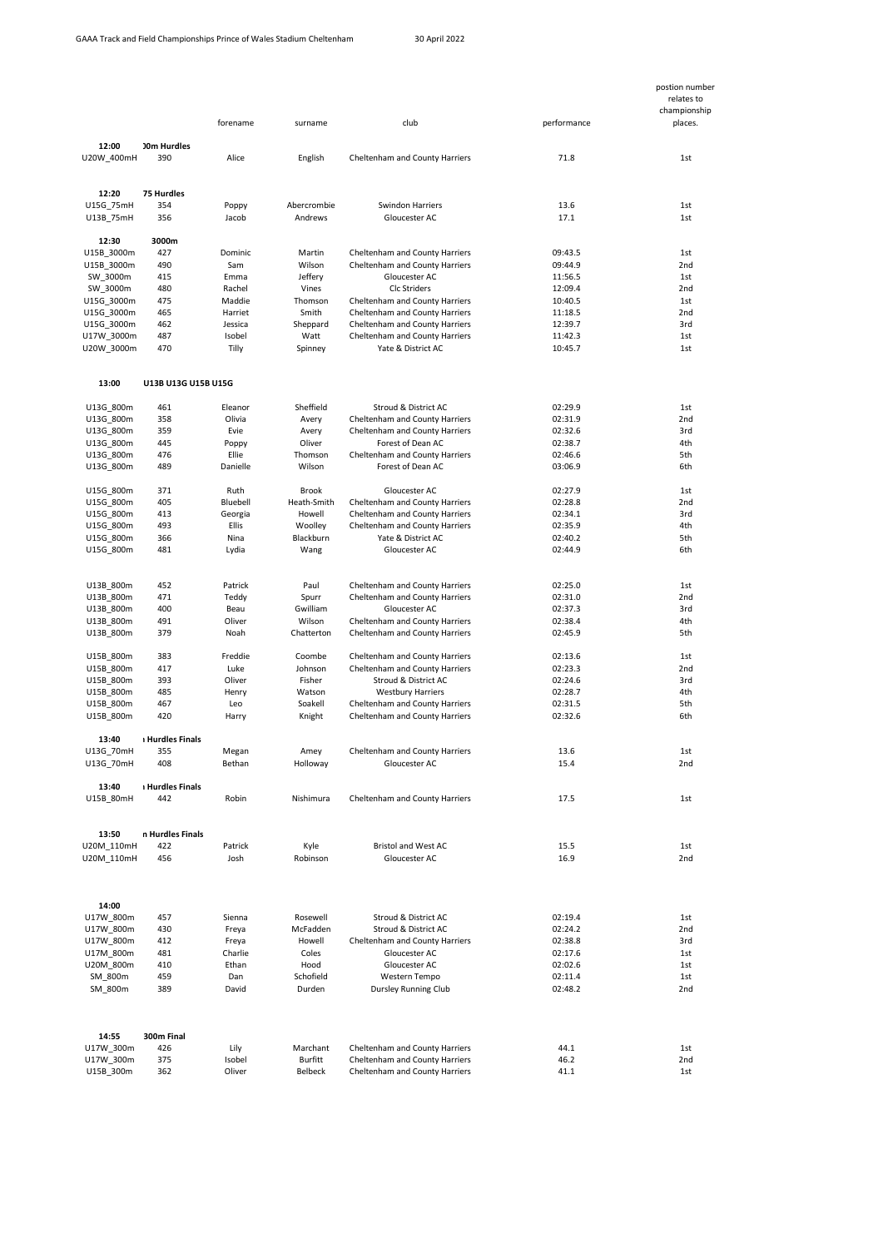|                          |                           |                   |                   |                                                                  |                    | postion number<br>relates to<br>championship |
|--------------------------|---------------------------|-------------------|-------------------|------------------------------------------------------------------|--------------------|----------------------------------------------|
|                          |                           | forename          | surname           | club                                                             | performance        | places.                                      |
| 12:00                    | <b>JOm Hurdles</b><br>390 | Alice             | English           |                                                                  | 71.8               | 1st                                          |
| U20W_400mH               |                           |                   |                   | Cheltenham and County Harriers                                   |                    |                                              |
| 12:20                    | <b>75 Hurdles</b>         |                   |                   |                                                                  |                    |                                              |
| U15G 75mH                | 354                       | Poppy             | Abercrombie       | <b>Swindon Harriers</b>                                          | 13.6               | 1st                                          |
| U13B 75mH                | 356                       | Jacob             | Andrews           | Gloucester AC                                                    | 17.1               | 1st                                          |
| 12:30<br>U15B 3000m      | 3000m<br>427              | Dominic           | Martin            | Cheltenham and County Harriers                                   | 09:43.5            | 1st                                          |
| U15B_3000m               | 490                       | Sam               | Wilson            | Cheltenham and County Harriers                                   | 09:44.9            | 2nd                                          |
| SW 3000m                 | 415                       | Emma              | Jeffery           | Gloucester AC                                                    | 11:56.5            | 1st                                          |
| SW 3000m                 | 480                       | Rachel            | Vines             | Clc Striders                                                     | 12:09.4            | 2nd                                          |
| U15G_3000m               | 475                       | Maddie            | Thomson           | Cheltenham and County Harriers                                   | 10:40.5            | 1st                                          |
| U15G 3000m               | 465                       | Harriet           | Smith             | Cheltenham and County Harriers                                   | 11:18.5            | 2nd                                          |
| U15G_3000m               | 462                       | Jessica           | Sheppard          | Cheltenham and County Harriers                                   | 12:39.7            | 3rd                                          |
| U17W_3000m<br>U20W_3000m | 487<br>470                | Isobel<br>Tilly   | Watt<br>Spinney   | Cheltenham and County Harriers<br>Yate & District AC             | 11:42.3<br>10:45.7 | 1st<br>1st                                   |
|                          |                           |                   |                   |                                                                  |                    |                                              |
| 13:00                    | U13B U13G U15B U15G       |                   |                   |                                                                  |                    |                                              |
| U13G_800m                | 461                       | Eleanor           | Sheffield         | Stroud & District AC                                             | 02:29.9            | 1st                                          |
| U13G 800m                | 358                       | Olivia            | Avery             | Cheltenham and County Harriers                                   | 02:31.9            | 2nd                                          |
| U13G_800m                | 359                       | Evie              | Avery             | Cheltenham and County Harriers                                   | 02:32.6            | 3rd                                          |
| U13G_800m                | 445                       | Poppy             | Oliver            | Forest of Dean AC                                                | 02:38.7            | 4th                                          |
| U13G 800m<br>U13G_800m   | 476<br>489                | Ellie<br>Danielle | Thomson<br>Wilson | Cheltenham and County Harriers<br>Forest of Dean AC              | 02:46.6<br>03:06.9 | 5th<br>6th                                   |
| U15G 800m                | 371                       | Ruth              | <b>Brook</b>      | Gloucester AC                                                    | 02:27.9            | 1st                                          |
| U15G_800m                | 405                       | Bluebell          | Heath-Smith       | Cheltenham and County Harriers                                   | 02:28.8            | 2nd                                          |
| U15G_800m                | 413                       | Georgia           | Howell            | Cheltenham and County Harriers                                   | 02:34.1            | 3rd                                          |
| U15G 800m                | 493                       | <b>Ellis</b>      | Woolley           | Cheltenham and County Harriers                                   | 02:35.9            | 4th                                          |
| U15G_800m                | 366                       | Nina              | Blackburn         | Yate & District AC                                               | 02:40.2            | 5th                                          |
| U15G_800m                | 481                       | Lydia             | Wang              | Gloucester AC                                                    | 02:44.9            | 6th                                          |
| U13B 800m                | 452                       | Patrick           | Paul              | Cheltenham and County Harriers                                   | 02:25.0            | 1st                                          |
| U13B 800m                | 471                       | Teddy             | Spurr             | Cheltenham and County Harriers                                   | 02:31.0            | 2nd                                          |
| U13B_800m                | 400                       | Beau              | Gwilliam          | Gloucester AC                                                    | 02:37.3            | 3rd                                          |
| U13B 800m                | 491                       | Oliver            | Wilson            | Cheltenham and County Harriers                                   | 02:38.4            | 4th                                          |
| U13B_800m                | 379                       | Noah              | Chatterton        | Cheltenham and County Harriers                                   | 02:45.9            | 5th                                          |
| U15B 800m                | 383                       | Freddie           | Coombe            | Cheltenham and County Harriers                                   | 02:13.6            | 1st                                          |
| U15B 800m                | 417                       | Luke              | Johnson           | Cheltenham and County Harriers                                   | 02:23.3            | 2nd                                          |
| U15B_800m                | 393                       | Oliver            | Fisher            | Stroud & District AC                                             | 02:24.6            | 3rd                                          |
| U15B 800m                | 485                       | Henry             | Watson            | <b>Westbury Harriers</b>                                         | 02:28.7            | 4th                                          |
| U15B 800m<br>U15B_800m   | 467<br>420                | Leo<br>Harry      | Soakell<br>Knight | Cheltenham and County Harriers<br>Cheltenham and County Harriers | 02:31.5<br>02:32.6 | 5th<br>6th                                   |
| 13:40                    | <b>Hurdles Finals</b>     |                   |                   |                                                                  |                    |                                              |
| U13G 70mH                | 355                       | Megan             | Amey              | Cheltenham and County Harriers                                   | 13.6               | 1st                                          |
| U13G 70mH                | 408                       | Bethan            | Holloway          | Gloucester AC                                                    | 15.4               | 2nd                                          |
| 13:40                    | <b>Hurdles Finals</b>     |                   |                   |                                                                  |                    |                                              |
| U15B_80mH                | 442                       | Robin             | Nishimura         | Cheltenham and County Harriers                                   | 17.5               | 1st                                          |
| 13:50                    | n Hurdles Finals          |                   |                   |                                                                  |                    |                                              |
| U20M 110mH               | 422                       | Patrick           | Kyle              | Bristol and West AC                                              | 15.5               | 1st                                          |
| U20M_110mH               | 456                       | Josh              | Robinson          | Gloucester AC                                                    | 16.9               | 2nd                                          |
| 14:00                    |                           |                   |                   |                                                                  |                    |                                              |
| U17W 800m                | 457                       | Sienna            | Rosewell          | Stroud & District AC                                             | 02:19.4            | 1st                                          |
| U17W_800m                | 430                       | Freya             | McFadden          | Stroud & District AC                                             | 02:24.2            | 2nd                                          |
| U17W 800m                | 412                       | Freya             | Howell            | Cheltenham and County Harriers                                   | 02:38.8            | 3rd                                          |
| U17M 800m<br>U20M_800m   | 481<br>410                | Charlie<br>Ethan  | Coles<br>Hood     | Gloucester AC<br>Gloucester AC                                   | 02:17.6<br>02:02.6 | 1st<br>1st                                   |
| SM 800m                  | 459                       | Dan               | Schofield         | Western Tempo                                                    | 02:11.4            | 1st                                          |
| SM 800m                  | 389                       | David             | Durden            | Dursley Running Club                                             | 02:48.2            | 2nd                                          |
|                          |                           |                   |                   |                                                                  |                    |                                              |
| 14:55                    | 300m Final                |                   |                   |                                                                  |                    |                                              |
| U17W 300m                | 426                       | Lily              | Marchant          | Cheltenham and County Harriers                                   | 44.1               | 1st                                          |
| U17W 300m                | 375                       | Isobel            | <b>Burfitt</b>    | Cheltenham and County Harriers                                   | 46.2               | 2nd                                          |
| U15B_300m                | 362                       | Oliver            | Belbeck           | Cheltenham and County Harriers                                   | 41.1               | 1st                                          |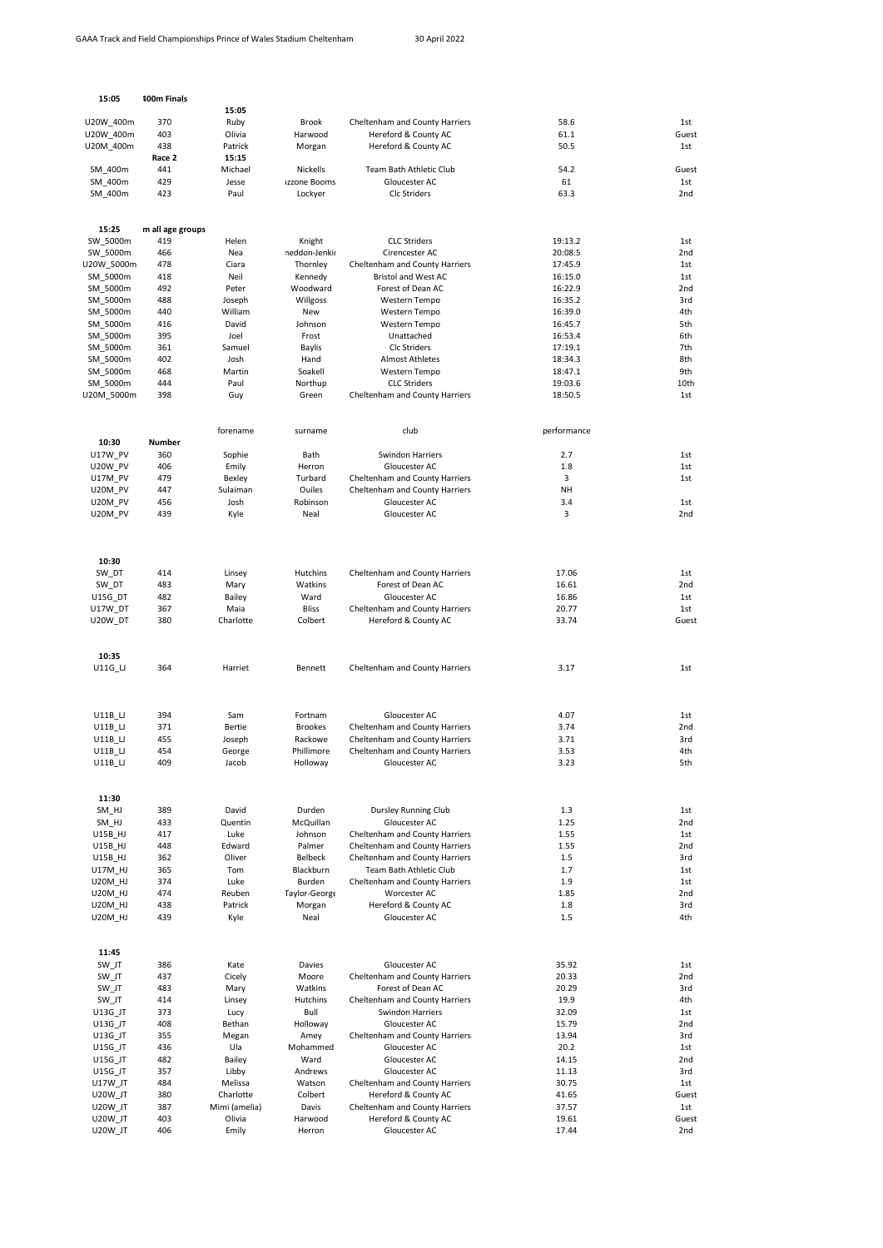| 15:05                            | 100m Finals      |                            |                         |                                                                  |                    |                        |
|----------------------------------|------------------|----------------------------|-------------------------|------------------------------------------------------------------|--------------------|------------------------|
|                                  |                  | 15:05                      |                         |                                                                  |                    |                        |
| U20W 400m                        | 370              | Ruby                       | Brook                   | Cheltenham and County Harriers                                   | 58.6               | 1st                    |
| U20W_400m                        | 403              | Olivia                     | Harwood                 | Hereford & County AC                                             | 61.1               | Guest                  |
| U20M_400m                        | 438              | Patrick                    | Morgan                  | Hereford & County AC                                             | 50.5               | 1st                    |
| SM 400m                          | Race 2<br>441    | 15:15<br>Michael           | Nickells                | Team Bath Athletic Club                                          | 54.2               | Guest                  |
| SM_400m                          | 429              | Jesse                      | Izzone Booms            | Gloucester AC                                                    | 61                 | 1st                    |
| SM 400m                          | 423              | Paul                       | Lockyer                 | Clc Striders                                                     | 63.3               | 2 <sub>nd</sub>        |
|                                  |                  |                            |                         |                                                                  |                    |                        |
| 15:25                            | m all age groups |                            |                         |                                                                  |                    |                        |
| SW_5000m                         | 419<br>466       | Helen                      | Knight<br>neddon-Jenkir | <b>CLC Striders</b>                                              | 19:13.2            | 1st                    |
| SW_5000m<br>U20W 5000m           | 478              | Nea<br>Ciara               | Thornley                | Cirencester AC<br>Cheltenham and County Harriers                 | 20:08.5<br>17:45.9 | 2nd<br>1st             |
| SM_5000m                         | 418              | Neil                       | Kennedy                 | <b>Bristol and West AC</b>                                       | 16:15.0            | 1st                    |
| SM_5000m                         | 492              | Peter                      | Woodward                | Forest of Dean AC                                                | 16:22.9            | 2nd                    |
| SM 5000m                         | 488              | Joseph                     | Willgoss                | Western Tempo                                                    | 16:35.2            | 3rd                    |
| SM_5000m                         | 440              | William                    | New                     | Western Tempo                                                    | 16:39.0            | 4th                    |
| SM_5000m                         | 416              | David                      | Johnson                 | Western Tempo                                                    | 16:45.7            | 5th                    |
| SM 5000m<br>SM_5000m             | 395<br>361       | Joel<br>Samuel             | Frost<br>Baylis         | Unattached<br><b>Clc Striders</b>                                | 16:53.4<br>17:19.1 | 6th<br>7th             |
| SM_5000m                         | 402              | Josh                       | Hand                    | <b>Almost Athletes</b>                                           | 18:34.3            | 8th                    |
| SM 5000m                         | 468              | Martin                     | Soakell                 | Western Tempo                                                    | 18:47.1            | 9th                    |
| SM_5000m                         | 444              | Paul                       | Northup                 | <b>CLC Striders</b>                                              | 19:03.6            | 10th                   |
| U20M_5000m                       | 398              | Guy                        | Green                   | Cheltenham and County Harriers                                   | 18:50.5            | 1st                    |
|                                  |                  |                            |                         |                                                                  |                    |                        |
| 10:30                            | Number           | forename                   | surname                 | club                                                             | performance        |                        |
| <b>U17W PV</b>                   | 360              | Sophie                     | Bath                    | <b>Swindon Harriers</b>                                          | 2.7                | 1st                    |
| U20W PV                          | 406              | Emily                      | Herron                  | Gloucester AC                                                    | 1.8                | 1st                    |
| U17M PV                          | 479              | Bexley                     | Turbard                 | Cheltenham and County Harriers                                   | 3                  | 1st                    |
| U20M_PV                          | 447              | Sulaiman                   | Ouiles                  | Cheltenham and County Harriers                                   | <b>NH</b>          |                        |
| U20M PV<br>U20M PV               | 456<br>439       | Josh<br>Kyle               | Robinson<br>Neal        | Gloucester AC<br>Gloucester AC                                   | 3.4<br>3           | 1st<br>2nd             |
|                                  |                  |                            |                         |                                                                  |                    |                        |
|                                  |                  |                            |                         |                                                                  |                    |                        |
| 10:30                            |                  |                            |                         |                                                                  |                    |                        |
| SW DT<br>SW DT                   | 414<br>483       | Linsey<br>Mary             | Hutchins<br>Watkins     | Cheltenham and County Harriers<br>Forest of Dean AC              | 17.06<br>16.61     | 1st<br>2 <sub>nd</sub> |
| U15G_DT                          | 482              | Bailey                     | Ward                    | Gloucester AC                                                    | 16.86              | 1st                    |
| U17W DT                          | 367              | Maia                       | <b>Bliss</b>            | Cheltenham and County Harriers                                   | 20.77              | 1st                    |
| U20W DT                          | 380              | Charlotte                  | Colbert                 | Hereford & County AC                                             | 33.74              | Guest                  |
| 10:35                            |                  |                            |                         |                                                                  |                    |                        |
| U11G_LJ                          | 364              | Harriet                    | Bennett                 | Cheltenham and County Harriers                                   | 3.17               | 1st                    |
|                                  |                  |                            |                         |                                                                  |                    |                        |
| U11B LJ                          | 394              | Sam                        | Fortnam                 | Gloucester AC                                                    | 4.07               | 1st                    |
| U11B LJ                          | 371              | Bertie<br>Joseph           | <b>Brookes</b>          | Cheltenham and County Harriers                                   | 3.74               | 2nd                    |
| $U11B$ _LJ<br>U11B LJ            | 455<br>454       | George                     | Rackowe<br>Phillimore   | Cheltenham and County Harriers<br>Cheltenham and County Harriers | 3.71<br>3.53       | 3rd<br>4th             |
| $U11B$ _LJ                       | 409              | Jacob                      | Holloway                | Gloucester AC                                                    | 3.23               | 5th                    |
|                                  |                  |                            |                         |                                                                  |                    |                        |
| 11:30                            |                  |                            |                         |                                                                  |                    |                        |
| SM HJ<br>SM HJ                   | 389<br>433       | David<br>Quentin           | Durden<br>McQuillan     | Dursley Running Club<br>Gloucester AC                            | 1.3<br>1.25        | 1st<br>2nd             |
| U15B HJ                          | 417              | Luke                       | Johnson                 | Cheltenham and County Harriers                                   | 1.55               | 1st                    |
| U15B_HJ                          | 448              | Edward                     | Palmer                  | Cheltenham and County Harriers                                   | 1.55               | 2 <sub>nd</sub>        |
| U15B_HJ                          | 362              | Oliver                     | Belbeck                 | Cheltenham and County Harriers                                   | 1.5                | 3rd                    |
| U17M HJ                          | 365              | Tom                        | Blackburn               | Team Bath Athletic Club                                          | 1.7                | 1st                    |
| <b>U20M HJ</b>                   | 374              | Luke                       | Burden                  | Cheltenham and County Harriers                                   | 1.9                | 1st                    |
| <b>U20M HJ</b><br><b>U20M HJ</b> | 474<br>438       | Reuben<br>Patrick          | Taylor-George<br>Morgan | Worcester AC<br>Hereford & County AC                             | 1.85<br>1.8        | 2nd<br>3rd             |
| U20M_HJ                          | 439              | Kyle                       | Neal                    | Gloucester AC                                                    | 1.5                | 4th                    |
|                                  |                  |                            |                         |                                                                  |                    |                        |
| 11:45<br>SW_JT                   | 386              | Kate                       | Davies                  | Gloucester AC                                                    | 35.92              | 1st                    |
| SW JT                            | 437              | Cicely                     | Moore                   | Cheltenham and County Harriers                                   | 20.33              | 2 <sub>nd</sub>        |
| SW_JT                            | 483              | Mary                       | Watkins                 | Forest of Dean AC                                                | 20.29              | 3rd                    |
| SW_JT                            | 414              | Linsey                     | Hutchins                | Cheltenham and County Harriers                                   | 19.9               | 4th                    |
| U13G_JT                          | 373              | Lucy                       | Bull                    | Swindon Harriers                                                 | 32.09              | 1st                    |
| U13G_JT<br>U13G_JT               | 408<br>355       | Bethan<br>Megan            | Holloway<br>Amey        | Gloucester AC<br>Cheltenham and County Harriers                  | 15.79<br>13.94     | 2 <sub>nd</sub><br>3rd |
| U15G_JT                          | 436              | Ula                        | Mohammed                | Gloucester AC                                                    | 20.2               | 1st                    |
| U15G_JT                          | 482              | Bailey                     | Ward                    | Gloucester AC                                                    | 14.15              | 2 <sub>nd</sub>        |
| U15G_JT                          | 357              | Libby                      | Andrews                 | Gloucester AC                                                    | 11.13              | 3rd                    |
| U17W_JT                          | 484              | Melissa                    | Watson                  | Cheltenham and County Harriers                                   | 30.75              | 1st                    |
| U20W_JT                          | 380<br>387       | Charlotte<br>Mimi (amelia) | Colbert<br>Davis        | Hereford & County AC<br>Cheltenham and County Harriers           | 41.65<br>37.57     | Guest                  |
| U20W_JT<br>U20W_JT               | 403              | Olivia                     | Harwood                 | Hereford & County AC                                             | 19.61              | 1st<br>Guest           |
| U20W_JT                          | 406              | Emily                      | Herron                  | Gloucester AC                                                    | 17.44              | 2nd                    |